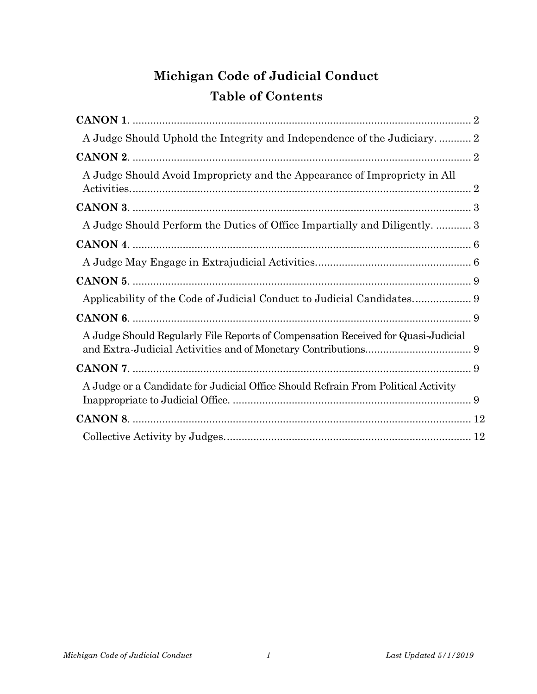# **Michigan Code of Judicial Conduct Table of Contents**

| A Judge Should Uphold the Integrity and Independence of the Judiciary.  2         |  |
|-----------------------------------------------------------------------------------|--|
|                                                                                   |  |
| A Judge Should Avoid Impropriety and the Appearance of Impropriety in All         |  |
|                                                                                   |  |
| A Judge Should Perform the Duties of Office Impartially and Diligently.  3        |  |
|                                                                                   |  |
|                                                                                   |  |
|                                                                                   |  |
|                                                                                   |  |
|                                                                                   |  |
| A Judge Should Regularly File Reports of Compensation Received for Quasi-Judicial |  |
|                                                                                   |  |
| A Judge or a Candidate for Judicial Office Should Refrain From Political Activity |  |
|                                                                                   |  |
|                                                                                   |  |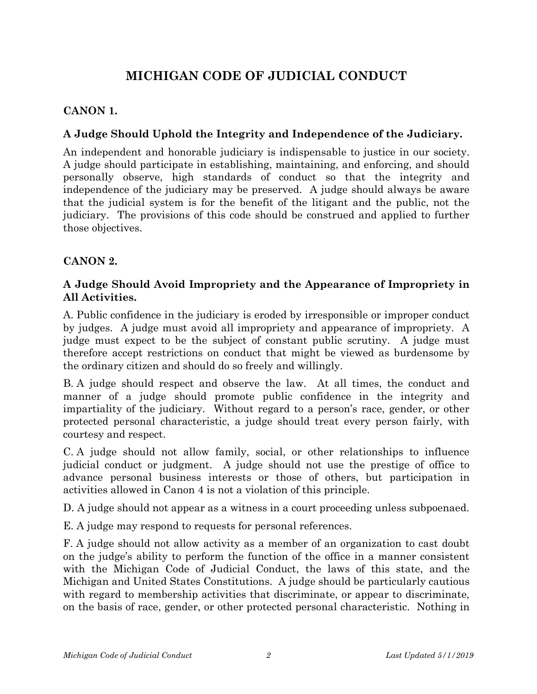# **MICHIGAN CODE OF JUDICIAL CONDUCT**

# <span id="page-1-0"></span>**CANON 1.**

# <span id="page-1-1"></span>**A Judge Should Uphold the Integrity and Independence of the Judiciary.**

An independent and honorable judiciary is indispensable to justice in our society. A judge should participate in establishing, maintaining, and enforcing, and should personally observe, high standards of conduct so that the integrity and independence of the judiciary may be preserved. A judge should always be aware that the judicial system is for the benefit of the litigant and the public, not the judiciary. The provisions of this code should be construed and applied to further those objectives.

## <span id="page-1-2"></span>**CANON 2.**

# <span id="page-1-3"></span>**A Judge Should Avoid Impropriety and the Appearance of Impropriety in All Activities.**

A. Public confidence in the judiciary is eroded by irresponsible or improper conduct by judges. A judge must avoid all impropriety and appearance of impropriety. A judge must expect to be the subject of constant public scrutiny. A judge must therefore accept restrictions on conduct that might be viewed as burdensome by the ordinary citizen and should do so freely and willingly.

B. A judge should respect and observe the law. At all times, the conduct and manner of a judge should promote public confidence in the integrity and impartiality of the judiciary. Without regard to a person's race, gender, or other protected personal characteristic, a judge should treat every person fairly, with courtesy and respect.

C. A judge should not allow family, social, or other relationships to influence judicial conduct or judgment. A judge should not use the prestige of office to advance personal business interests or those of others, but participation in activities allowed in Canon 4 is not a violation of this principle.

D. A judge should not appear as a witness in a court proceeding unless subpoenaed.

E. A judge may respond to requests for personal references.

F. A judge should not allow activity as a member of an organization to cast doubt on the judge's ability to perform the function of the office in a manner consistent with the Michigan Code of Judicial Conduct, the laws of this state, and the Michigan and United States Constitutions. A judge should be particularly cautious with regard to membership activities that discriminate, or appear to discriminate, on the basis of race, gender, or other protected personal characteristic. Nothing in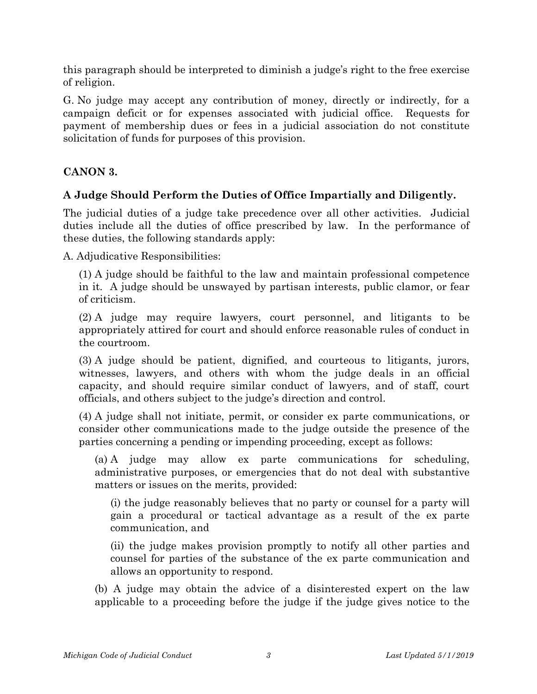this paragraph should be interpreted to diminish a judge's right to the free exercise of religion.

G. No judge may accept any contribution of money, directly or indirectly, for a campaign deficit or for expenses associated with judicial office. Requests for payment of membership dues or fees in a judicial association do not constitute solicitation of funds for purposes of this provision.

# <span id="page-2-0"></span>**CANON 3.**

# <span id="page-2-1"></span>**A Judge Should Perform the Duties of Office Impartially and Diligently.**

The judicial duties of a judge take precedence over all other activities. Judicial duties include all the duties of office prescribed by law. In the performance of these duties, the following standards apply:

A. Adjudicative Responsibilities:

(1) A judge should be faithful to the law and maintain professional competence in it. A judge should be unswayed by partisan interests, public clamor, or fear of criticism.

(2) A judge may require lawyers, court personnel, and litigants to be appropriately attired for court and should enforce reasonable rules of conduct in the courtroom.

(3) A judge should be patient, dignified, and courteous to litigants, jurors, witnesses, lawyers, and others with whom the judge deals in an official capacity, and should require similar conduct of lawyers, and of staff, court officials, and others subject to the judge's direction and control.

(4) A judge shall not initiate, permit, or consider ex parte communications, or consider other communications made to the judge outside the presence of the parties concerning a pending or impending proceeding, except as follows:

(a) A judge may allow ex parte communications for scheduling, administrative purposes, or emergencies that do not deal with substantive matters or issues on the merits, provided:

(i) the judge reasonably believes that no party or counsel for a party will gain a procedural or tactical advantage as a result of the ex parte communication, and

(ii) the judge makes provision promptly to notify all other parties and counsel for parties of the substance of the ex parte communication and allows an opportunity to respond.

(b) A judge may obtain the advice of a disinterested expert on the law applicable to a proceeding before the judge if the judge gives notice to the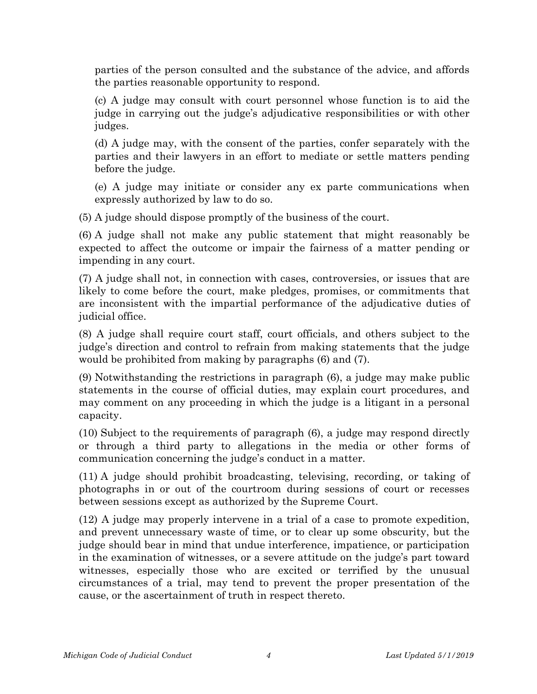parties of the person consulted and the substance of the advice, and affords the parties reasonable opportunity to respond.

(c) A judge may consult with court personnel whose function is to aid the judge in carrying out the judge's adjudicative responsibilities or with other judges.

(d) A judge may, with the consent of the parties, confer separately with the parties and their lawyers in an effort to mediate or settle matters pending before the judge.

(e) A judge may initiate or consider any ex parte communications when expressly authorized by law to do so.

(5) A judge should dispose promptly of the business of the court.

(6) A judge shall not make any public statement that might reasonably be expected to affect the outcome or impair the fairness of a matter pending or impending in any court.

(7) A judge shall not, in connection with cases, controversies, or issues that are likely to come before the court, make pledges, promises, or commitments that are inconsistent with the impartial performance of the adjudicative duties of judicial office.

(8) A judge shall require court staff, court officials, and others subject to the judge's direction and control to refrain from making statements that the judge would be prohibited from making by paragraphs (6) and (7).

(9) Notwithstanding the restrictions in paragraph (6), a judge may make public statements in the course of official duties, may explain court procedures, and may comment on any proceeding in which the judge is a litigant in a personal capacity.

(10) Subject to the requirements of paragraph (6), a judge may respond directly or through a third party to allegations in the media or other forms of communication concerning the judge's conduct in a matter.

(11) A judge should prohibit broadcasting, televising, recording, or taking of photographs in or out of the courtroom during sessions of court or recesses between sessions except as authorized by the Supreme Court.

(12) A judge may properly intervene in a trial of a case to promote expedition, and prevent unnecessary waste of time, or to clear up some obscurity, but the judge should bear in mind that undue interference, impatience, or participation in the examination of witnesses, or a severe attitude on the judge's part toward witnesses, especially those who are excited or terrified by the unusual circumstances of a trial, may tend to prevent the proper presentation of the cause, or the ascertainment of truth in respect thereto.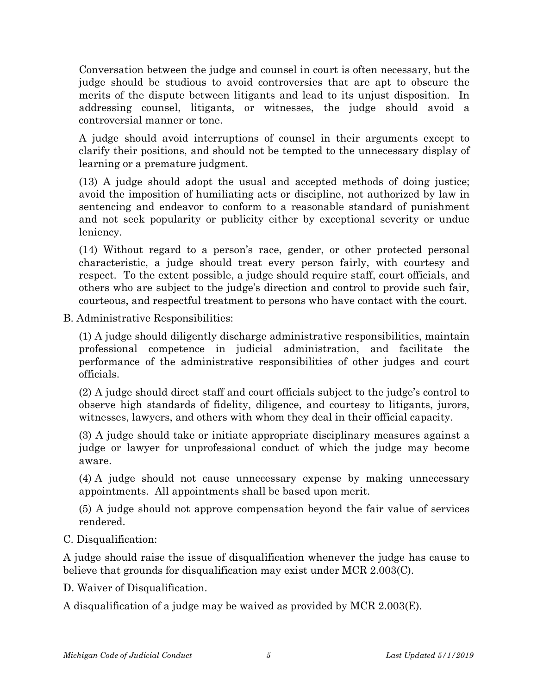Conversation between the judge and counsel in court is often necessary, but the judge should be studious to avoid controversies that are apt to obscure the merits of the dispute between litigants and lead to its unjust disposition. In addressing counsel, litigants, or witnesses, the judge should avoid a controversial manner or tone.

A judge should avoid interruptions of counsel in their arguments except to clarify their positions, and should not be tempted to the unnecessary display of learning or a premature judgment.

(13) A judge should adopt the usual and accepted methods of doing justice; avoid the imposition of humiliating acts or discipline, not authorized by law in sentencing and endeavor to conform to a reasonable standard of punishment and not seek popularity or publicity either by exceptional severity or undue leniency.

(14) Without regard to a person's race, gender, or other protected personal characteristic, a judge should treat every person fairly, with courtesy and respect. To the extent possible, a judge should require staff, court officials, and others who are subject to the judge's direction and control to provide such fair, courteous, and respectful treatment to persons who have contact with the court.

B. Administrative Responsibilities:

(1) A judge should diligently discharge administrative responsibilities, maintain professional competence in judicial administration, and facilitate the performance of the administrative responsibilities of other judges and court officials.

(2) A judge should direct staff and court officials subject to the judge's control to observe high standards of fidelity, diligence, and courtesy to litigants, jurors, witnesses, lawyers, and others with whom they deal in their official capacity.

(3) A judge should take or initiate appropriate disciplinary measures against a judge or lawyer for unprofessional conduct of which the judge may become aware.

(4) A judge should not cause unnecessary expense by making unnecessary appointments. All appointments shall be based upon merit.

(5) A judge should not approve compensation beyond the fair value of services rendered.

C. Disqualification:

A judge should raise the issue of disqualification whenever the judge has cause to believe that grounds for disqualification may exist under MCR 2.003(C).

D. Waiver of Disqualification.

A disqualification of a judge may be waived as provided by MCR 2.003(E).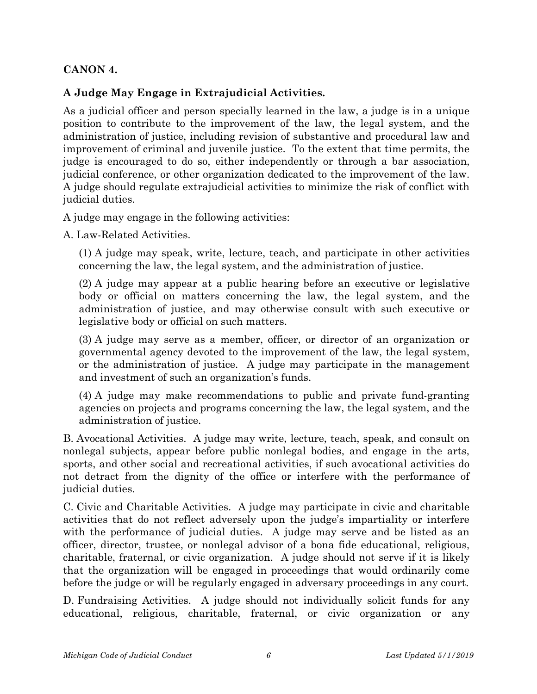# <span id="page-5-0"></span>**CANON 4.**

# <span id="page-5-1"></span>**A Judge May Engage in Extrajudicial Activities.**

As a judicial officer and person specially learned in the law, a judge is in a unique position to contribute to the improvement of the law, the legal system, and the administration of justice, including revision of substantive and procedural law and improvement of criminal and juvenile justice. To the extent that time permits, the judge is encouraged to do so, either independently or through a bar association, judicial conference, or other organization dedicated to the improvement of the law. A judge should regulate extrajudicial activities to minimize the risk of conflict with judicial duties.

A judge may engage in the following activities:

A. Law-Related Activities.

(1) A judge may speak, write, lecture, teach, and participate in other activities concerning the law, the legal system, and the administration of justice.

(2) A judge may appear at a public hearing before an executive or legislative body or official on matters concerning the law, the legal system, and the administration of justice, and may otherwise consult with such executive or legislative body or official on such matters.

(3) A judge may serve as a member, officer, or director of an organization or governmental agency devoted to the improvement of the law, the legal system, or the administration of justice. A judge may participate in the management and investment of such an organization's funds.

(4) A judge may make recommendations to public and private fund-granting agencies on projects and programs concerning the law, the legal system, and the administration of justice.

B. Avocational Activities. A judge may write, lecture, teach, speak, and consult on nonlegal subjects, appear before public nonlegal bodies, and engage in the arts, sports, and other social and recreational activities, if such avocational activities do not detract from the dignity of the office or interfere with the performance of judicial duties.

C. Civic and Charitable Activities. A judge may participate in civic and charitable activities that do not reflect adversely upon the judge's impartiality or interfere with the performance of judicial duties. A judge may serve and be listed as an officer, director, trustee, or nonlegal advisor of a bona fide educational, religious, charitable, fraternal, or civic organization. A judge should not serve if it is likely that the organization will be engaged in proceedings that would ordinarily come before the judge or will be regularly engaged in adversary proceedings in any court.

D. Fundraising Activities. A judge should not individually solicit funds for any educational, religious, charitable, fraternal, or civic organization or any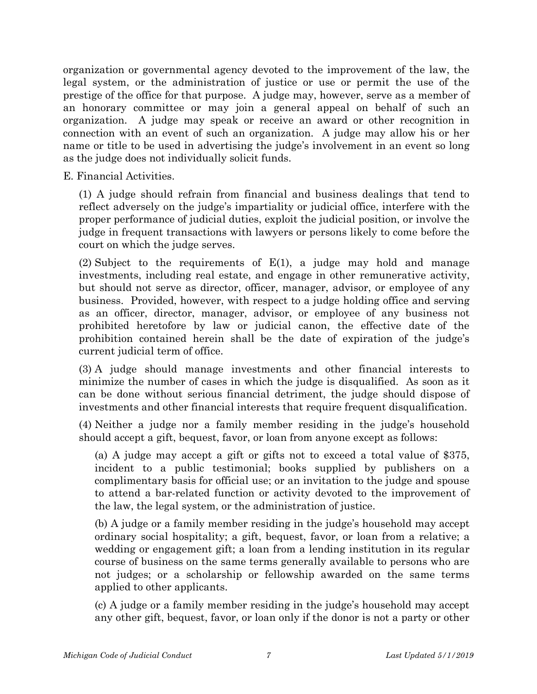organization or governmental agency devoted to the improvement of the law, the legal system, or the administration of justice or use or permit the use of the prestige of the office for that purpose. A judge may, however, serve as a member of an honorary committee or may join a general appeal on behalf of such an organization. A judge may speak or receive an award or other recognition in connection with an event of such an organization. A judge may allow his or her name or title to be used in advertising the judge's involvement in an event so long as the judge does not individually solicit funds.

E. Financial Activities.

(1) A judge should refrain from financial and business dealings that tend to reflect adversely on the judge's impartiality or judicial office, interfere with the proper performance of judicial duties, exploit the judicial position, or involve the judge in frequent transactions with lawyers or persons likely to come before the court on which the judge serves.

(2) Subject to the requirements of  $E(1)$ , a judge may hold and manage investments, including real estate, and engage in other remunerative activity, but should not serve as director, officer, manager, advisor, or employee of any business. Provided, however, with respect to a judge holding office and serving as an officer, director, manager, advisor, or employee of any business not prohibited heretofore by law or judicial canon, the effective date of the prohibition contained herein shall be the date of expiration of the judge's current judicial term of office.

(3) A judge should manage investments and other financial interests to minimize the number of cases in which the judge is disqualified. As soon as it can be done without serious financial detriment, the judge should dispose of investments and other financial interests that require frequent disqualification.

(4) Neither a judge nor a family member residing in the judge's household should accept a gift, bequest, favor, or loan from anyone except as follows:

(a) A judge may accept a gift or gifts not to exceed a total value of \$375, incident to a public testimonial; books supplied by publishers on a complimentary basis for official use; or an invitation to the judge and spouse to attend a bar-related function or activity devoted to the improvement of the law, the legal system, or the administration of justice.

(b) A judge or a family member residing in the judge's household may accept ordinary social hospitality; a gift, bequest, favor, or loan from a relative; a wedding or engagement gift; a loan from a lending institution in its regular course of business on the same terms generally available to persons who are not judges; or a scholarship or fellowship awarded on the same terms applied to other applicants.

(c) A judge or a family member residing in the judge's household may accept any other gift, bequest, favor, or loan only if the donor is not a party or other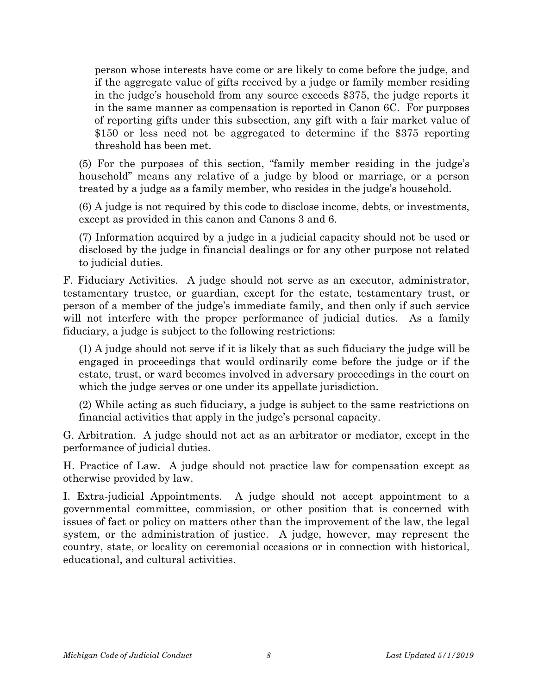person whose interests have come or are likely to come before the judge, and if the aggregate value of gifts received by a judge or family member residing in the judge's household from any source exceeds \$375, the judge reports it in the same manner as compensation is reported in Canon 6C. For purposes of reporting gifts under this subsection, any gift with a fair market value of \$150 or less need not be aggregated to determine if the \$375 reporting threshold has been met.

(5) For the purposes of this section, "family member residing in the judge's household" means any relative of a judge by blood or marriage, or a person treated by a judge as a family member, who resides in the judge's household.

(6) A judge is not required by this code to disclose income, debts, or investments, except as provided in this canon and Canons 3 and 6.

(7) Information acquired by a judge in a judicial capacity should not be used or disclosed by the judge in financial dealings or for any other purpose not related to judicial duties.

F. Fiduciary Activities. A judge should not serve as an executor, administrator, testamentary trustee, or guardian, except for the estate, testamentary trust, or person of a member of the judge's immediate family, and then only if such service will not interfere with the proper performance of judicial duties. As a family fiduciary, a judge is subject to the following restrictions:

(1) A judge should not serve if it is likely that as such fiduciary the judge will be engaged in proceedings that would ordinarily come before the judge or if the estate, trust, or ward becomes involved in adversary proceedings in the court on which the judge serves or one under its appellate jurisdiction.

(2) While acting as such fiduciary, a judge is subject to the same restrictions on financial activities that apply in the judge's personal capacity.

G. Arbitration. A judge should not act as an arbitrator or mediator, except in the performance of judicial duties.

H. Practice of Law. A judge should not practice law for compensation except as otherwise provided by law.

I. Extra-judicial Appointments. A judge should not accept appointment to a governmental committee, commission, or other position that is concerned with issues of fact or policy on matters other than the improvement of the law, the legal system, or the administration of justice. A judge, however, may represent the country, state, or locality on ceremonial occasions or in connection with historical, educational, and cultural activities.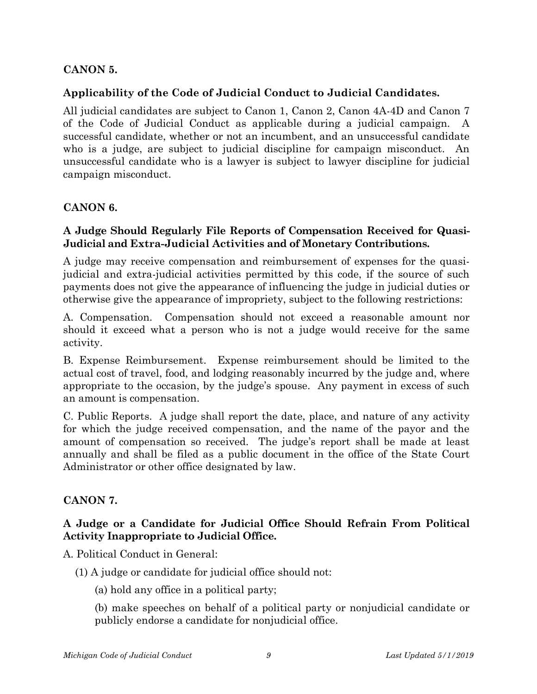# <span id="page-8-0"></span>**CANON 5.**

# <span id="page-8-1"></span>**Applicability of the Code of Judicial Conduct to Judicial Candidates.**

All judicial candidates are subject to Canon 1, Canon 2, Canon 4A-4D and Canon 7 of the Code of Judicial Conduct as applicable during a judicial campaign. A successful candidate, whether or not an incumbent, and an unsuccessful candidate who is a judge, are subject to judicial discipline for campaign misconduct. An unsuccessful candidate who is a lawyer is subject to lawyer discipline for judicial campaign misconduct.

## <span id="page-8-2"></span>**CANON 6.**

#### <span id="page-8-3"></span>**A Judge Should Regularly File Reports of Compensation Received for Quasi-Judicial and Extra-Judicial Activities and of Monetary Contributions.**

A judge may receive compensation and reimbursement of expenses for the quasijudicial and extra-judicial activities permitted by this code, if the source of such payments does not give the appearance of influencing the judge in judicial duties or otherwise give the appearance of impropriety, subject to the following restrictions:

A. Compensation. Compensation should not exceed a reasonable amount nor should it exceed what a person who is not a judge would receive for the same activity.

B. Expense Reimbursement. Expense reimbursement should be limited to the actual cost of travel, food, and lodging reasonably incurred by the judge and, where appropriate to the occasion, by the judge's spouse. Any payment in excess of such an amount is compensation.

C. Public Reports. A judge shall report the date, place, and nature of any activity for which the judge received compensation, and the name of the payor and the amount of compensation so received. The judge's report shall be made at least annually and shall be filed as a public document in the office of the State Court Administrator or other office designated by law.

## <span id="page-8-4"></span>**CANON 7.**

## <span id="page-8-5"></span>**A Judge or a Candidate for Judicial Office Should Refrain From Political Activity Inappropriate to Judicial Office.**

A. Political Conduct in General:

(1) A judge or candidate for judicial office should not:

(a) hold any office in a political party;

(b) make speeches on behalf of a political party or nonjudicial candidate or publicly endorse a candidate for nonjudicial office.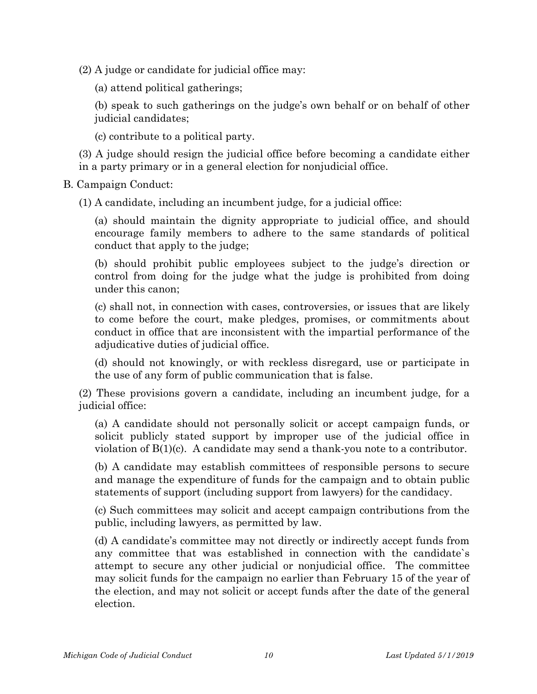(2) A judge or candidate for judicial office may:

(a) attend political gatherings;

(b) speak to such gatherings on the judge's own behalf or on behalf of other judicial candidates;

(c) contribute to a political party.

(3) A judge should resign the judicial office before becoming a candidate either in a party primary or in a general election for nonjudicial office.

B. Campaign Conduct:

(1) A candidate, including an incumbent judge, for a judicial office:

(a) should maintain the dignity appropriate to judicial office, and should encourage family members to adhere to the same standards of political conduct that apply to the judge;

(b) should prohibit public employees subject to the judge's direction or control from doing for the judge what the judge is prohibited from doing under this canon;

(c) shall not, in connection with cases, controversies, or issues that are likely to come before the court, make pledges, promises, or commitments about conduct in office that are inconsistent with the impartial performance of the adjudicative duties of judicial office.

(d) should not knowingly, or with reckless disregard, use or participate in the use of any form of public communication that is false.

(2) These provisions govern a candidate, including an incumbent judge, for a judicial office:

(a) A candidate should not personally solicit or accept campaign funds, or solicit publicly stated support by improper use of the judicial office in violation of B(1)(c). A candidate may send a thank-you note to a contributor.

(b) A candidate may establish committees of responsible persons to secure and manage the expenditure of funds for the campaign and to obtain public statements of support (including support from lawyers) for the candidacy.

(c) Such committees may solicit and accept campaign contributions from the public, including lawyers, as permitted by law.

(d) A candidate's committee may not directly or indirectly accept funds from any committee that was established in connection with the candidate`s attempt to secure any other judicial or nonjudicial office. The committee may solicit funds for the campaign no earlier than February 15 of the year of the election, and may not solicit or accept funds after the date of the general election.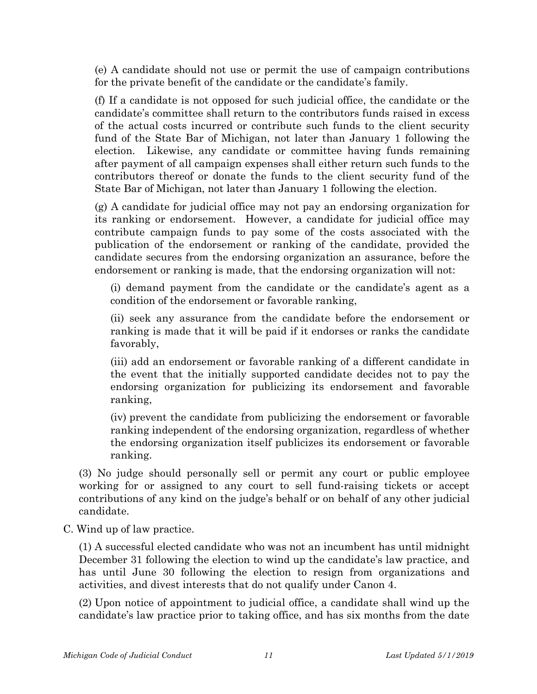(e) A candidate should not use or permit the use of campaign contributions for the private benefit of the candidate or the candidate's family.

(f) If a candidate is not opposed for such judicial office, the candidate or the candidate's committee shall return to the contributors funds raised in excess of the actual costs incurred or contribute such funds to the client security fund of the State Bar of Michigan, not later than January 1 following the election. Likewise, any candidate or committee having funds remaining after payment of all campaign expenses shall either return such funds to the contributors thereof or donate the funds to the client security fund of the State Bar of Michigan, not later than January 1 following the election.

(g) A candidate for judicial office may not pay an endorsing organization for its ranking or endorsement. However, a candidate for judicial office may contribute campaign funds to pay some of the costs associated with the publication of the endorsement or ranking of the candidate, provided the candidate secures from the endorsing organization an assurance, before the endorsement or ranking is made, that the endorsing organization will not:

(i) demand payment from the candidate or the candidate's agent as a condition of the endorsement or favorable ranking,

(ii) seek any assurance from the candidate before the endorsement or ranking is made that it will be paid if it endorses or ranks the candidate favorably,

(iii) add an endorsement or favorable ranking of a different candidate in the event that the initially supported candidate decides not to pay the endorsing organization for publicizing its endorsement and favorable ranking,

(iv) prevent the candidate from publicizing the endorsement or favorable ranking independent of the endorsing organization, regardless of whether the endorsing organization itself publicizes its endorsement or favorable ranking.

(3) No judge should personally sell or permit any court or public employee working for or assigned to any court to sell fund-raising tickets or accept contributions of any kind on the judge's behalf or on behalf of any other judicial candidate.

C. Wind up of law practice.

(1) A successful elected candidate who was not an incumbent has until midnight December 31 following the election to wind up the candidate's law practice, and has until June 30 following the election to resign from organizations and activities, and divest interests that do not qualify under Canon 4.

(2) Upon notice of appointment to judicial office, a candidate shall wind up the candidate's law practice prior to taking office, and has six months from the date